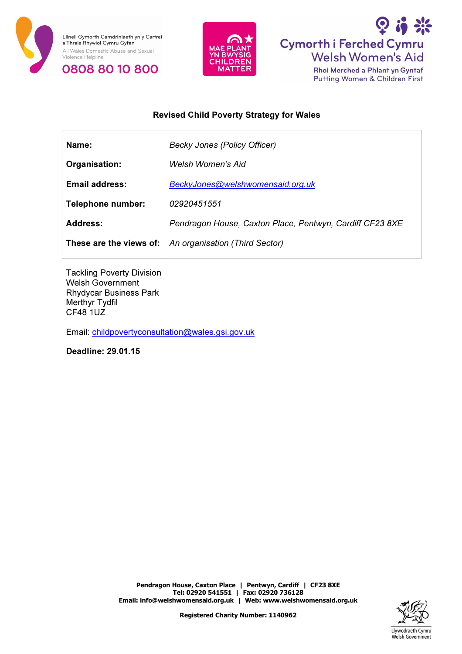





# Revised Child Poverty Strategy for Wales

| Name:                 | Becky Jones (Policy Officer)                                      |
|-----------------------|-------------------------------------------------------------------|
| Organisation:         | Welsh Women's Aid                                                 |
| <b>Email address:</b> | BeckyJones@welshwomensaid.org.uk                                  |
| Telephone number:     | 02920451551                                                       |
| <b>Address:</b>       | Pendragon House, Caxton Place, Pentwyn, Cardiff CF23 8XE          |
|                       | <b>These are the views of:</b> $ $ An organisation (Third Sector) |
|                       |                                                                   |

Tackling Poverty Division Welsh Government Rhydycar Business Park Merthyr Tydfil CF48 1UZ

Email: childpovertyconsultation@wales.gsi.gov.uk

Deadline: 29.01.15

Pendragon House, Caxton Place | Pentwyn, Cardiff | CF23 8XE Tel: 02920 541551 | Fax: 02920 736128 Email: info@welshwomensaid.org.uk | Web: www.welshwomensaid.org.uk

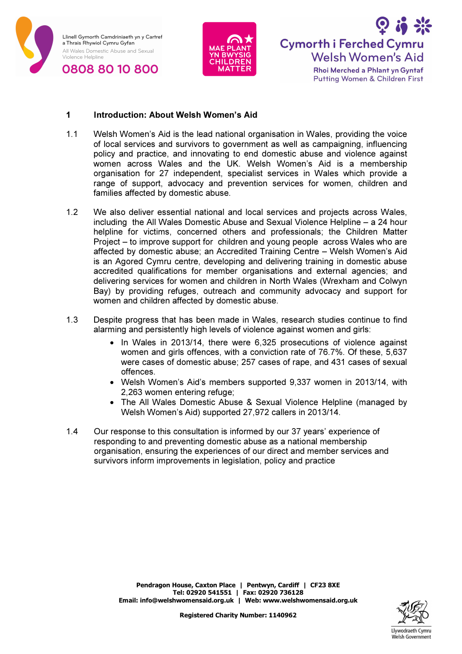





#### 1 Introduction: About Welsh Women's Aid

- 1.1 Welsh Women's Aid is the lead national organisation in Wales, providing the voice of local services and survivors to government as well as campaigning, influencing policy and practice, and innovating to end domestic abuse and violence against women across Wales and the UK. Welsh Women's Aid is a membership organisation for 27 independent, specialist services in Wales which provide a range of support, advocacy and prevention services for women, children and families affected by domestic abuse.
- 1.2 We also deliver essential national and local services and projects across Wales, including the All Wales Domestic Abuse and Sexual Violence Helpline – a 24 hour helpline for victims, concerned others and professionals; the Children Matter Project – to improve support for children and young people across Wales who are affected by domestic abuse; an Accredited Training Centre – Welsh Women's Aid is an Agored Cymru centre, developing and delivering training in domestic abuse accredited qualifications for member organisations and external agencies; and delivering services for women and children in North Wales (Wrexham and Colwyn Bay) by providing refuges, outreach and community advocacy and support for women and children affected by domestic abuse.
- 1.3 Despite progress that has been made in Wales, research studies continue to find alarming and persistently high levels of violence against women and girls:
	- In Wales in 2013/14, there were 6,325 prosecutions of violence against women and girls offences, with a conviction rate of 76.7%. Of these, 5,637 were cases of domestic abuse; 257 cases of rape, and 431 cases of sexual offences.
	- Welsh Women's Aid's members supported 9,337 women in 2013/14, with 2,263 women entering refuge;
	- The All Wales Domestic Abuse & Sexual Violence Helpline (managed by Welsh Women's Aid) supported 27,972 callers in 2013/14.
- 1.4 Our response to this consultation is informed by our 37 years' experience of responding to and preventing domestic abuse as a national membership organisation, ensuring the experiences of our direct and member services and survivors inform improvements in legislation, policy and practice

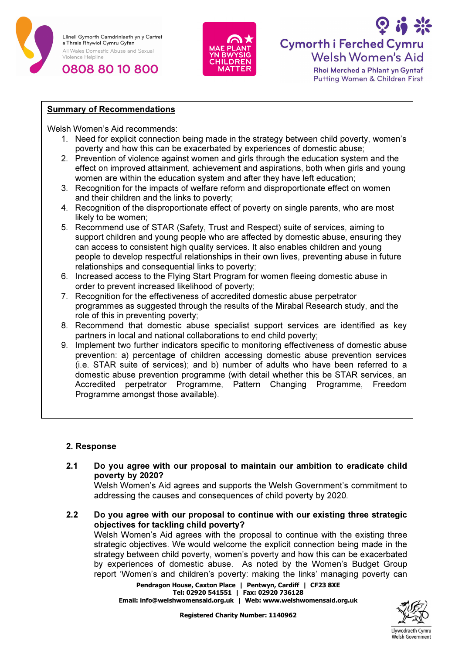





Rhoi Merched a Phlant yn Gyntaf Putting Women & Children First

## Summary of Recommendations

Welsh Women's Aid recommends:

- 1. Need for explicit connection being made in the strategy between child poverty, women's poverty and how this can be exacerbated by experiences of domestic abuse;
- 2. Prevention of violence against women and girls through the education system and the effect on improved attainment, achievement and aspirations, both when girls and young women are within the education system and after they have left education;
- 3. Recognition for the impacts of welfare reform and disproportionate effect on women and their children and the links to poverty;
- 4. Recognition of the disproportionate effect of poverty on single parents, who are most likely to be women;
- 5. Recommend use of STAR (Safety, Trust and Respect) suite of services, aiming to support children and young people who are affected by domestic abuse, ensuring they can access to consistent high quality services. It also enables children and young people to develop respectful relationships in their own lives, preventing abuse in future relationships and consequential links to poverty;
- 6. Increased access to the Flying Start Program for women fleeing domestic abuse in order to prevent increased likelihood of poverty;
- 7. Recognition for the effectiveness of accredited domestic abuse perpetrator programmes as suggested through the results of the Mirabal Research study, and the role of this in preventing poverty;
- 8. Recommend that domestic abuse specialist support services are identified as key partners in local and national collaborations to end child poverty;
- 9. Implement two further indicators specific to monitoring effectiveness of domestic abuse prevention: a) percentage of children accessing domestic abuse prevention services (i.e. STAR suite of services); and b) number of adults who have been referred to a domestic abuse prevention programme (with detail whether this be STAR services, an Accredited perpetrator Programme, Pattern Changing Programme, Freedom Programme amongst those available).

#### 2. Response

2.1 Do you agree with our proposal to maintain our ambition to eradicate child poverty by 2020?

Welsh Women's Aid agrees and supports the Welsh Government's commitment to addressing the causes and consequences of child poverty by 2020.

2.2 Do you agree with our proposal to continue with our existing three strategic objectives for tackling child poverty?

Welsh Women's Aid agrees with the proposal to continue with the existing three strategic objectives. We would welcome the explicit connection being made in the strategy between child poverty, women's poverty and how this can be exacerbated by experiences of domestic abuse. As noted by the Women's Budget Group report 'Women's and children's poverty: making the links' managing poverty can

Pendragon House, Caxton Place | Pentwyn, Cardiff | CF23 8XE Tel: 02920 541551 | Fax: 02920 736128 Email: info@welshwomensaid.org.uk | Web: www.welshwomensaid.org.uk

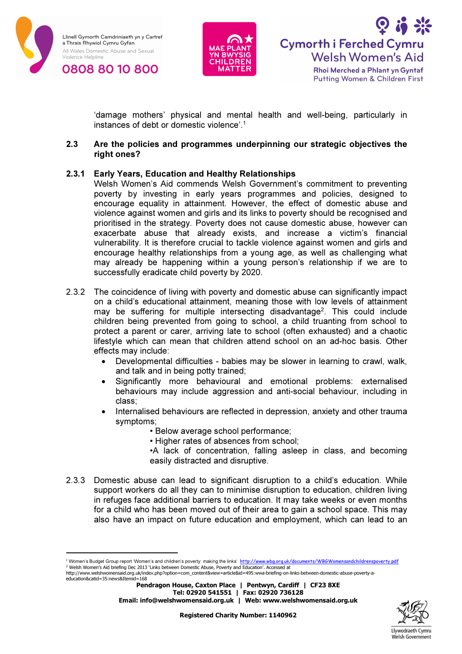





'damage mothers' physical and mental health and well-being, particularly in instances of debt or domestic violence'.<sup>1</sup>

#### 2.3 Are the policies and programmes underpinning our strategic objectives the right ones?

### 2.3.1 Early Years, Education and Healthy Relationships

Welsh Women's Aid commends Welsh Government's commitment to preventing poverty by investing in early years programmes and policies, designed to encourage equality in attainment. However, the effect of domestic abuse and violence against women and girls and its links to poverty should be recognised and prioritised in the strategy. Poverty does not cause domestic abuse, however can exacerbate abuse that already exists, and increase a victim's financial vulnerability. It is therefore crucial to tackle violence against women and girls and encourage healthy relationships from a young age, as well as challenging what may already be happening within a young person's relationship if we are to successfully eradicate child poverty by 2020.

- 2.3.2 The coincidence of living with poverty and domestic abuse can significantly impact on a child's educational attainment, meaning those with low levels of attainment may be suffering for multiple intersecting disadvantage<sup>2</sup>. This could include children being prevented from going to school, a child truanting from school to protect a parent or carer, arriving late to school (often exhausted) and a chaotic lifestyle which can mean that children attend school on an ad-hoc basis. Other effects may include:
	- Developmental difficulties babies may be slower in learning to crawl, walk, and talk and in being potty trained;
	- Significantly more behavioural and emotional problems: externalised behaviours may include aggression and anti-social behaviour, including in class;
	- Internalised behaviours are reflected in depression, anxiety and other trauma symptoms;
		- Below average school performance;
		- Higher rates of absences from school;
		- •A lack of concentration, falling asleep in class, and becoming easily distracted and disruptive.
- 2.3.3 Domestic abuse can lead to significant disruption to a child's education. While support workers do all they can to minimise disruption to education, children living in refuges face additional barriers to education. It may take weeks or even months for a child who has been moved out of their area to gain a school space. This may also have an impact on future education and employment, which can lead to an

Pendragon House, Caxton Place | Pentwyn, Cardiff | CF23 8XE Tel: 02920 541551 | Fax: 02920 736128 Email: info@welshwomensaid.org.uk | Web: www.welshwomensaid.org.uk



<sup>&</sup>lt;sup>1</sup> Women's Budget Group report 'Women's and children's poverty: making the links' <u>http://www.wbq.org.uk/documents/WBGWomensandchildrenspoverty.pdf</u><br><sup>2</sup> Welsh Women's Aid briefing Dec 2013 'Links between Domestic Abuse, P

http://www.welshwomensaid.org.uk/index.php?option=com\_content&view=article&id=495:wwa-briefing-on-links-between-domestic-abuse-poverty-aeducation&catid=35:news&Itemid=168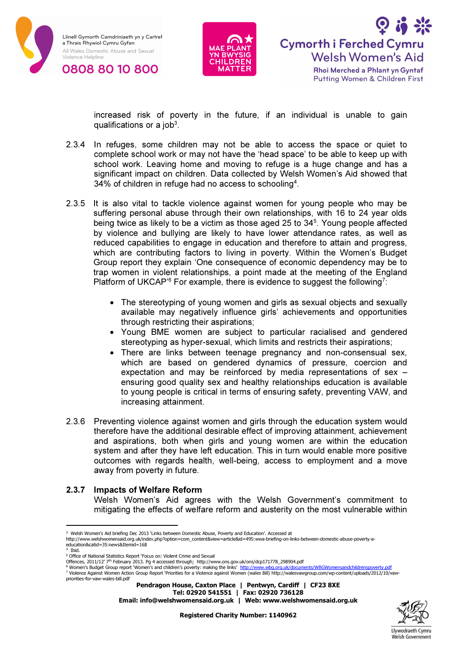





increased risk of poverty in the future, if an individual is unable to gain qualifications or a job $3$ .

- 2.3.4 In refuges, some children may not be able to access the space or quiet to complete school work or may not have the 'head space' to be able to keep up with school work. Leaving home and moving to refuge is a huge change and has a significant impact on children. Data collected by Welsh Women's Aid showed that 34% of children in refuge had no access to schooling<sup>4</sup> .
- 2.3.5 It is also vital to tackle violence against women for young people who may be suffering personal abuse through their own relationships, with 16 to 24 year olds being twice as likely to be a victim as those aged 25 to 34 5 . Young people affected by violence and bullying are likely to have lower attendance rates, as well as reduced capabilities to engage in education and therefore to attain and progress, which are contributing factors to living in poverty. Within the Women's Budget Group report they explain 'One consequence of economic dependency may be to trap women in violent relationships, a point made at the meeting of the England Platform of UKCAP<sup>'6</sup> For example, there is evidence to suggest the following<sup>7</sup>:
	- The stereotyping of young women and girls as sexual objects and sexually available may negatively influence girls' achievements and opportunities through restricting their aspirations;
	- Young BME women are subject to particular racialised and gendered stereotyping as hyper-sexual, which limits and restricts their aspirations;
	- There are links between teenage pregnancy and non-consensual sex, which are based on gendered dynamics of pressure, coercion and expectation and may be reinforced by media representations of sex – ensuring good quality sex and healthy relationships education is available to young people is critical in terms of ensuring safety, preventing VAW, and increasing attainment.
- 2.3.6 Preventing violence against women and girls through the education system would therefore have the additional desirable effect of improving attainment, achievement and aspirations, both when girls and young women are within the education system and after they have left education. This in turn would enable more positive outcomes with regards health, well-being, access to employment and a move away from poverty in future.

# 2.3.7 Impacts of Welfare Reform

Welsh Women's Aid agrees with the Welsh Government's commitment to mitigating the effects of welfare reform and austerity on the most vulnerable within

4 Ibid.

Tel: 02920 541551 | Fax: 02920 736128

Email: info@welshwomensaid.org.uk | Web: www.welshwomensaid.org.uk



<sup>&</sup>lt;sup>3</sup> Welsh Women's Aid briefing Dec 2013 'Links between Domestic Abuse, Poverty and Education'. Accessed at

http://www.welshwomensaid.org.uk/index.php?option=com\_content&view=article&id=495:wwa-briefing-on-links-between-domestic-abuse-poverty-aeducation&catid=35:news&Itemid=168

<sup>5</sup> Office of National Statistics Report 'Focus on: Violent Crime and Sexual

Offences, 2011/12′ 7<sup>th</sup> February 2013. Pg 4 accessed through; http://www.ons.gov.uk/ons/dcp171778\_298904.pdf<br><sup>6</sup> Women's Budget Group report 'Women's and children's poverty: making the links' <u>http://www.wbg.org.uk/docum</u>

<sup>7</sup> Violence Against Women Action Group Report 'Priorities for a Violence against Women (wales Bill) http://walesvawgroup.com/wp-content/uploads/2012/10/vaw-

Pendragon House, Caxton Place | Pentwyn, Cardiff | CF23 8XE priorities-for-vaw-wales-bill.pdf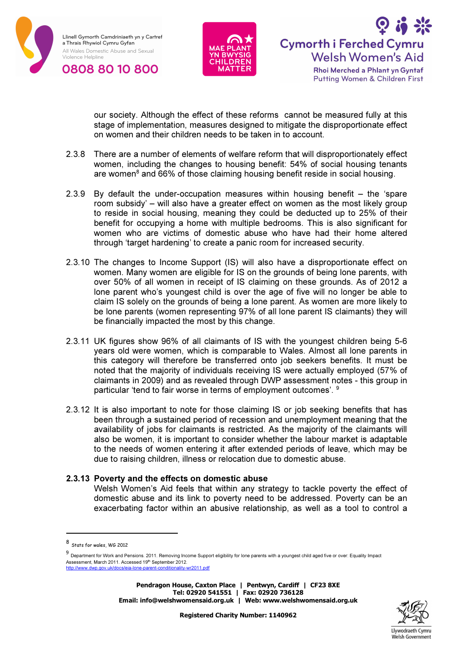





our society. Although the effect of these reforms cannot be measured fully at this stage of implementation, measures designed to mitigate the disproportionate effect on women and their children needs to be taken in to account.

- 2.3.8 There are a number of elements of welfare reform that will disproportionately effect women, including the changes to housing benefit: 54% of social housing tenants are women<sup>8</sup> and 66% of those claiming housing benefit reside in social housing.
- 2.3.9 By default the under-occupation measures within housing benefit the 'spare room subsidy' – will also have a greater effect on women as the most likely group to reside in social housing, meaning they could be deducted up to 25% of their benefit for occupying a home with multiple bedrooms. This is also significant for women who are victims of domestic abuse who have had their home altered through 'target hardening' to create a panic room for increased security.
- 2.3.10 The changes to Income Support (IS) will also have a disproportionate effect on women. Many women are eligible for IS on the grounds of being lone parents, with over 50% of all women in receipt of IS claiming on these grounds. As of 2012 a lone parent who's youngest child is over the age of five will no longer be able to claim IS solely on the grounds of being a lone parent. As women are more likely to be lone parents (women representing 97% of all lone parent IS claimants) they will be financially impacted the most by this change.
- 2.3.11 UK figures show 96% of all claimants of IS with the youngest children being 5-6 years old were women, which is comparable to Wales. Almost all lone parents in this category will therefore be transferred onto job seekers benefits. It must be noted that the majority of individuals receiving IS were actually employed (57% of claimants in 2009) and as revealed through DWP assessment notes - this group in particular 'tend to fair worse in terms of employment outcomes'. <sup>9</sup>
- 2.3.12 It is also important to note for those claiming IS or job seeking benefits that has been through a sustained period of recession and unemployment meaning that the availability of jobs for claimants is restricted. As the majority of the claimants will also be women, it is important to consider whether the labour market is adaptable to the needs of women entering it after extended periods of leave, which may be due to raising children, illness or relocation due to domestic abuse.

#### 2.3.13 Poverty and the effects on domestic abuse

Welsh Women's Aid feels that within any strategy to tackle poverty the effect of domestic abuse and its link to poverty need to be addressed. Poverty can be an exacerbating factor within an abusive relationship, as well as a tool to control a



<sup>8</sup> Stats for wales, WG 2012

<sup>9</sup> Department for Work and Pensions. 2011. Removing Income Support eligibility for lone parents with a youngest child aged five or over: Equality Impact Assessment, March 2011. Accessed 19<sup>th</sup> September 2012. enter<br>http://www.docs.com/docs/enter-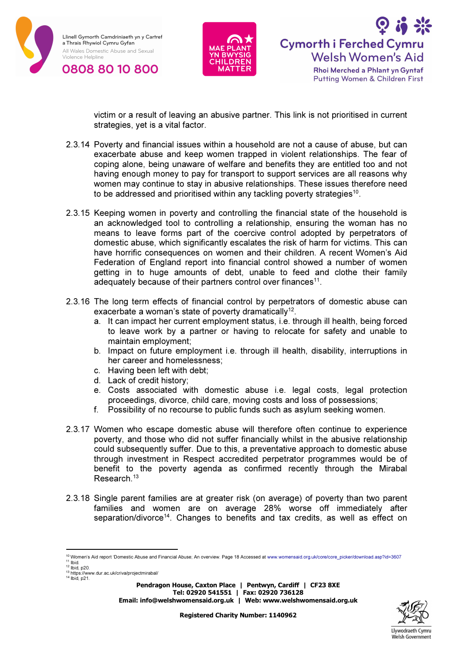





victim or a result of leaving an abusive partner. This link is not prioritised in current strategies, yet is a vital factor.

- 2.3.14 Poverty and financial issues within a household are not a cause of abuse, but can exacerbate abuse and keep women trapped in violent relationships. The fear of coping alone, being unaware of welfare and benefits they are entitled too and not having enough money to pay for transport to support services are all reasons why women may continue to stay in abusive relationships. These issues therefore need to be addressed and prioritised within any tackling poverty strategies<sup>10</sup>.
- 2.3.15 Keeping women in poverty and controlling the financial state of the household is an acknowledged tool to controlling a relationship, ensuring the woman has no means to leave forms part of the coercive control adopted by perpetrators of domestic abuse, which significantly escalates the risk of harm for victims. This can have horrific consequences on women and their children. A recent Women's Aid Federation of England report into financial control showed a number of women getting in to huge amounts of debt, unable to feed and clothe their family  $\alpha$  adequately because of their partners control over finances<sup>11</sup>.
- 2.3.16 The long term effects of financial control by perpetrators of domestic abuse can exacerbate a woman's state of poverty dramatically<sup>12</sup>.
	- a. It can impact her current employment status, i.e. through ill health, being forced to leave work by a partner or having to relocate for safety and unable to maintain employment;
	- b. Impact on future employment i.e. through ill health, disability, interruptions in her career and homelessness;
	- c. Having been left with debt;
	- d. Lack of credit history;
	- e. Costs associated with domestic abuse i.e. legal costs, legal protection proceedings, divorce, child care, moving costs and loss of possessions;
	- f. Possibility of no recourse to public funds such as asylum seeking women.
- 2.3.17 Women who escape domestic abuse will therefore often continue to experience poverty, and those who did not suffer financially whilst in the abusive relationship could subsequently suffer. Due to this, a preventative approach to domestic abuse through investment in Respect accredited perpetrator programmes would be of benefit to the poverty agenda as confirmed recently through the Mirabal Research.<sup>13</sup>
- 2.3.18 Single parent families are at greater risk (on average) of poverty than two parent families and women are on average 28% worse off immediately after separation/divorce<sup>14</sup>. Changes to benefits and tax credits, as well as effect on



<sup>10</sup> Women's Aid report 'Domestic Abuse and Financial Abuse; An overview. Page 18 Accessed at www.womensaid.org.uk/core/core\_picker/download.asp?id=3607  $11$  Ibid.

 $12$  lbid, p20.

<sup>&</sup>lt;sup>13</sup> https://www.dur.ac.uk/criva/projectmirabal/<br><sup>14</sup> Ibid, p21.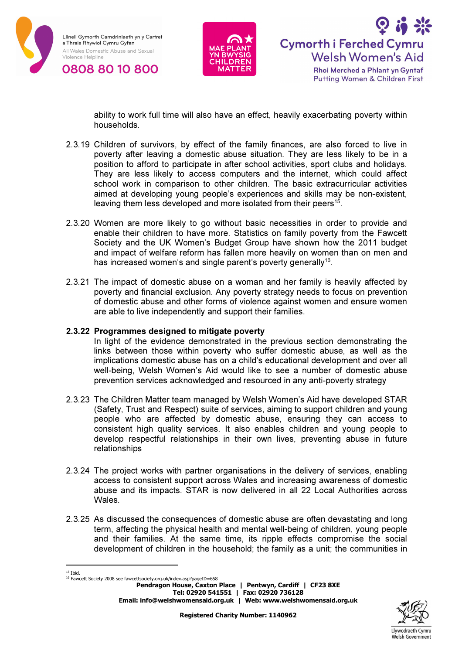





ability to work full time will also have an effect, heavily exacerbating poverty within households.

- 2.3.19 Children of survivors, by effect of the family finances, are also forced to live in poverty after leaving a domestic abuse situation. They are less likely to be in a position to afford to participate in after school activities, sport clubs and holidays. They are less likely to access computers and the internet, which could affect school work in comparison to other children. The basic extracurricular activities aimed at developing young people's experiences and skills may be non-existent, leaving them less developed and more isolated from their peers<sup>15</sup>.
- 2.3.20 Women are more likely to go without basic necessities in order to provide and enable their children to have more. Statistics on family poverty from the Fawcett Society and the UK Women's Budget Group have shown how the 2011 budget and impact of welfare reform has fallen more heavily on women than on men and has increased women's and single parent's poverty generally<sup>16</sup>.
- 2.3.21 The impact of domestic abuse on a woman and her family is heavily affected by poverty and financial exclusion. Any poverty strategy needs to focus on prevention of domestic abuse and other forms of violence against women and ensure women are able to live independently and support their families.

#### 2.3.22 Programmes designed to mitigate poverty

In light of the evidence demonstrated in the previous section demonstrating the links between those within poverty who suffer domestic abuse, as well as the implications domestic abuse has on a child's educational development and over all well-being, Welsh Women's Aid would like to see a number of domestic abuse prevention services acknowledged and resourced in any anti-poverty strategy

- 2.3.23 The Children Matter team managed by Welsh Women's Aid have developed STAR (Safety, Trust and Respect) suite of services, aiming to support children and young people who are affected by domestic abuse, ensuring they can access to consistent high quality services. It also enables children and young people to develop respectful relationships in their own lives, preventing abuse in future relationships
- 2.3.24 The project works with partner organisations in the delivery of services, enabling access to consistent support across Wales and increasing awareness of domestic abuse and its impacts. STAR is now delivered in all 22 Local Authorities across **Wales**
- 2.3.25 As discussed the consequences of domestic abuse are often devastating and long term, affecting the physical health and mental well-being of children, young people and their families. At the same time, its ripple effects compromise the social development of children in the household; the family as a unit; the communities in
- $15$  Thid.

Pendragon House, Caxton Place | Pentwyn, Cardiff | CF23 8XE Tel: 02920 541551 | Fax: 02920 736128 Email: info@welshwomensaid.org.uk | Web: www.welshwomensaid.org.uk



<sup>16</sup> Fawcett Society 2008 see fawcettsociety.org.uk/index.asp?pageID=658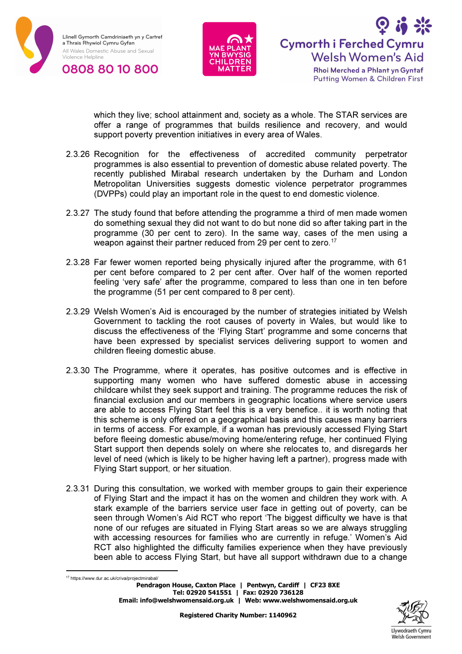





which they live; school attainment and, society as a whole. The STAR services are offer a range of programmes that builds resilience and recovery, and would support poverty prevention initiatives in every area of Wales.

- 2.3.26 Recognition for the effectiveness of accredited community perpetrator programmes is also essential to prevention of domestic abuse related poverty. The recently published Mirabal research undertaken by the Durham and London Metropolitan Universities suggests domestic violence perpetrator programmes (DVPPs) could play an important role in the quest to end domestic violence.
- 2.3.27 The study found that before attending the programme a third of men made women do something sexual they did not want to do but none did so after taking part in the programme (30 per cent to zero). In the same way, cases of the men using a weapon against their partner reduced from 29 per cent to zero.<sup>17</sup>
- 2.3.28 Far fewer women reported being physically injured after the programme, with 61 per cent before compared to 2 per cent after. Over half of the women reported feeling 'very safe' after the programme, compared to less than one in ten before the programme (51 per cent compared to 8 per cent).
- 2.3.29 Welsh Women's Aid is encouraged by the number of strategies initiated by Welsh Government to tackling the root causes of poverty in Wales, but would like to discuss the effectiveness of the 'Flying Start' programme and some concerns that have been expressed by specialist services delivering support to women and children fleeing domestic abuse.
- 2.3.30 The Programme, where it operates, has positive outcomes and is effective in supporting many women who have suffered domestic abuse in accessing childcare whilst they seek support and training. The programme reduces the risk of financial exclusion and our members in geographic locations where service users are able to access Flying Start feel this is a very benefice.. it is worth noting that this scheme is only offered on a geographical basis and this causes many barriers in terms of access. For example, if a woman has previously accessed Flying Start before fleeing domestic abuse/moving home/entering refuge, her continued Flying Start support then depends solely on where she relocates to, and disregards her level of need (which is likely to be higher having left a partner), progress made with Flying Start support, or her situation.
- 2.3.31 During this consultation, we worked with member groups to gain their experience of Flying Start and the impact it has on the women and children they work with. A stark example of the barriers service user face in getting out of poverty, can be seen through Women's Aid RCT who report 'The biggest difficulty we have is that none of our refuges are situated in Flying Start areas so we are always struggling with accessing resources for families who are currently in refuge.' Women's Aid RCT also highlighted the difficulty families experience when they have previously been able to access Flying Start, but have all support withdrawn due to a change

Pendragon House, Caxton Place | Pentwyn, Cardiff | CF23 8XE Tel: 02920 541551 | Fax: 02920 736128 Email: info@welshwomensaid.org.uk | Web: www.welshwomensaid.org.uk <sup>17</sup> https://www.dur.ac.uk/criva/projectmirabal/

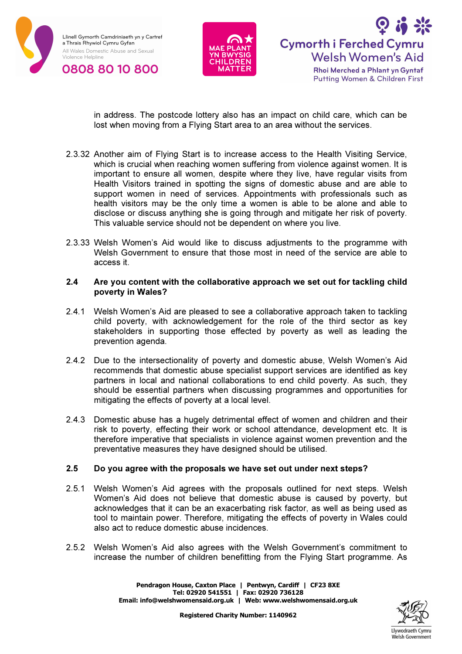





in address. The postcode lottery also has an impact on child care, which can be lost when moving from a Flying Start area to an area without the services.

- 2.3.32 Another aim of Flying Start is to increase access to the Health Visiting Service, which is crucial when reaching women suffering from violence against women. It is important to ensure all women, despite where they live, have regular visits from Health Visitors trained in spotting the signs of domestic abuse and are able to support women in need of services. Appointments with professionals such as health visitors may be the only time a women is able to be alone and able to disclose or discuss anything she is going through and mitigate her risk of poverty. This valuable service should not be dependent on where you live.
- 2.3.33 Welsh Women's Aid would like to discuss adjustments to the programme with Welsh Government to ensure that those most in need of the service are able to access it.

#### 2.4 Are you content with the collaborative approach we set out for tackling child poverty in Wales?

- 2.4.1 Welsh Women's Aid are pleased to see a collaborative approach taken to tackling child poverty, with acknowledgement for the role of the third sector as key stakeholders in supporting those effected by poverty as well as leading the prevention agenda.
- 2.4.2 Due to the intersectionality of poverty and domestic abuse, Welsh Women's Aid recommends that domestic abuse specialist support services are identified as key partners in local and national collaborations to end child poverty. As such, they should be essential partners when discussing programmes and opportunities for mitigating the effects of poverty at a local level.
- 2.4.3 Domestic abuse has a hugely detrimental effect of women and children and their risk to poverty, effecting their work or school attendance, development etc. It is therefore imperative that specialists in violence against women prevention and the preventative measures they have designed should be utilised.

#### 2.5 Do you agree with the proposals we have set out under next steps?

- 2.5.1 Welsh Women's Aid agrees with the proposals outlined for next steps. Welsh Women's Aid does not believe that domestic abuse is caused by poverty, but acknowledges that it can be an exacerbating risk factor, as well as being used as tool to maintain power. Therefore, mitigating the effects of poverty in Wales could also act to reduce domestic abuse incidences.
- 2.5.2 Welsh Women's Aid also agrees with the Welsh Government's commitment to increase the number of children benefitting from the Flying Start programme. As

Pendragon House, Caxton Place | Pentwyn, Cardiff | CF23 8XE Tel: 02920 541551 | Fax: 02920 736128 Email: info@welshwomensaid.org.uk | Web: www.welshwomensaid.org.uk